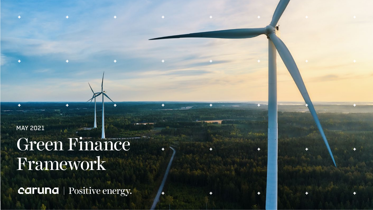MAY 2021

# Green Finance Framework

caruna | Positive energy.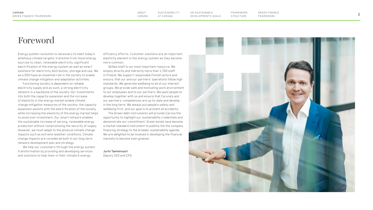**SUSTAINABILITY** AT CARUNA ABOUT

UN SUSTAINABLE [DEVELOPMENTS GOALS](#page-5-0) ABOUT SUSTAINABILITE ON SUSTAINABLE FRAMEWORK GREEN FINANCE<br>[CARUNA](#page-2-0) AT CARUNA DEVELOPMENTS GOALS STRUCTURE FRAMEWORK

[GREEN FINANCE](#page-7-0) FRAMEWORK

[FR A MEWORK](#page-6-0)  **STRUCTURE** 

### Foreword

Energy system revolution is necessary to meet today's ambitious climate targets: transition from fossil energy sources to clean, renewable electricity, significant electrification of the energy system as well as smart solutions for electricity distribution, storage and use. We as a DSO have an essential role in the society to enable climate change mitigation and adaptation activities.

Functioning society is dependent on reliable electricity supply and as such, a strong electricity network is a backbone of the society. Our investments into both the capacity expansion and the increase of elasticity in the energy market enable climate change mitigation measures of the society: the capacity expansion assists with the electrification of the society, while increasing the elasticity of the energy market helps to avoid over-investment. Our smart network enables the sustainable increase of varying, renewable energy production without compromising the security of supply. However, we must adapt to the physical climate change impacts such as extreme weather conditions. Climate change impacts are considered both in our long-term network development plan and strategy.

We help our customers through the energy system transformation by providing and developing services and solutions to help them in their climate & energy

efficiency efforts. Customer solutions are an important elasticity element in the energy system as they become more common.

Skilled staff is our most important resource. We employ directly and indirectly more than 1,700 staff in Finland. We support responsible Finnish actors and ensure, that our and our partners' operations follow high standards. We generate wellbeing to all of our interest groups. We provide safe and motivating work environment to our employees and to our partners. We want people to develop together with us and ensure that Caruna's and our partners' competences are up-to-date and develop in the long-term. We always put people's safety and wellbeing first, and our goal is to prevent all accidents.

The Green debt instruments will provide Caruna the opportunity to highlight our sustainability credentials and demonstrate our commitment. Green bonds have become a market standard instrument to publicly link the company financing strategy to the broader sustainability agenda. We are delighted to be involved in developing the financial markets to become even greener.

**Jyrki Tammivuori** Deputy CEO and CFO

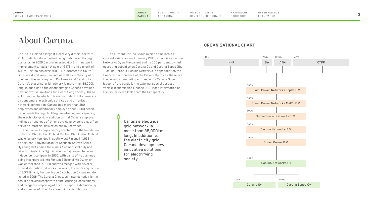# <span id="page-2-0"></span>About Caruna

Caruna is Finland's largest electricity distributor with 20% of electricity in Finland being distributed through our grids. In 2020 Caruna invested €143m in network improvements, had a net sale of €475m and a profit of €35m. Caruna has over 700,000 customers in South, Southwest and West Finland, as well as in the city of Joensuu, the sub-region of Koillismaa and Satakunta. Caruna's electrical grid network is more than 88,000km long. In addition to the electricity grid Caruna develops new innovative solutions for electrifying society. These solutions can be electric transport, electricity generated by consumers, electronic services and ultra-fast network connection. Caruna has more than 300 employees and additionally employs about 1,000 people nation-wide through building, maintaining and repairing the electricity grid. In addition to that Caruna employs indirectly hundreds of other service providers e.g. office services, material deliveries and ICT services.

The Caruna Group's history started with the foundation of Fortum Distribution Finland. Fortum Distribution Finland was originally founded in south-west Finland in 1912 as Karunan-Sauvon Sähkö Oy. Karunan-Sauvon Sähkö Oy changed its name to Lounais-Suomen Sähkö Oy and later to Länsivoima Oyj. Länsivoima Oyj ceased to be an independent company in 2000, with parts of its business being incorporated into Fortum Sähkönsiirto Oy, which was established in 2000 and was merged with several other distribution networks. Following Fortum's acquisition of E.ON Finland, Fortum Espoo Distribution Oy was established in 2006. The Caruna Group, as it stands today, is the result of several corporate restructurings, acquisitions and mergers comprising of Fortum Espoo Distribution Oy and a number of other local electricity distributors.

The current Caruna Group (which came into its current existence on 1 January 2018) comprises Caruna Networks Oy as the parent and its 100 per cent. owned, operating subsidiaries Caruna Oy and Caruna Espoo (the "Caruna OpCos"). Caruna Networks is dependent on the financial performance of the Caruna OpCos as these are the revenue generating entities in the Caruna Group. Issuer of the bonds is the external special purpose vehicle Transmission Finance DAC. More information on the Issuer is available from the Prospectus.

> Caruna's electrical grid network is more than 88,000km long. In addition to the electricity grid Caruna develops new innovative solutions for electrifying society.

#### **ORGANISATIONAL CHART**

[FR A MEWORK](#page-6-0)  **STRUCTURE** 

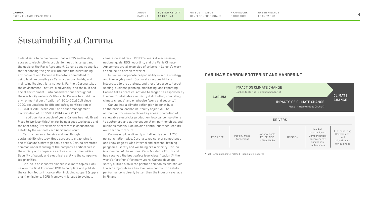[FR A MEWORK](#page-6-0)  **STRUCTURE** 

# <span id="page-3-0"></span>Sustainability at Caruna

Finland aims to be carbon neutral in 2035 and building access to electricity is crucial to meet this target and the goals of the Paris Agreement. Caruna does recognize that expanding the grid will influence the surrounding environment and Caruna is therefore committed to using land responsibly as Caruna designs, builds, and maintains its electricity network. Further, Caruna takes the environment – nature, biodiversity, and the built and social environment – into considerations throughout the electricity network's life cycle. Caruna has held the environmental certification of ISO 14001:2015 since 2000, occupational health and safety certification of ISO 45001:2018 since 2016 and asset management certification of ISO 55001:2014 since 2017.

In addition, for a couple of years Caruna has held Great Place to Work certification for being a good workplace and the best rating 'At the world's forefront in occupational safety' by the national Zero Accidents Forum.

Caruna has an extensive and well thought sustainability strategy. Good corporate citizenship is one of Caruna's strategic focus areas. Caruna promotes common understanding of the company's critical role in the society and cooperates actively with communities. Security of supply and electrical safety is the company's top priorities.

Caruna is an industry pioneer in climate topics. Caruna was the first European DSO to complete and publish the carbon footprint calculation including scope 3 (supply chain) emissions. TCFD framework is used to evaluate

climate-related risk. UN SDG's, market mechanisms, national goals, ESG reporting, and the Paris Climate Agreement are all examples of drivers in Caruna's work to reduce its carbon footprint.

In Caruna corporate responsibility is in the strategy and in everyday work. Corporate responsibility is integrated to the strategy, and therefore also to target setting, business planning, monitoring, and reporting. Caruna takes practical actions to target its responsibility themes "Sustainable electricity distribution, combating climate change" and emphasize "work and security".

Caruna has a climate action plan to contribute to the national carbon neutrality objective. The action plan focuses on three key areas: promotion of renewable electricity production, low-carbon solutions to customers and active cooperation, partnerships, and business models. Caruna also continuously reduces its own carbon footprint.

Caruna employs directly or indirectly about 1.700 persons nation-wide. Caruna takes care of competence and knowledge by wide internal and external training programs. Safety and wellbeing are a priority. Caruna is a member of the national Zero Accidents Forum and has received the best safety level classification 'At the world's forefront' for many years. Caruna develops safety culture also in the partner companies and strives towards injury-free sites. Caruna's contractor safety performance is clearly better than the industry average in Finland.

#### **CARUNA'S CARBON FOOTPRINT AND HANDPRINT**



\*Task Force on Climate-related Financial Disclosures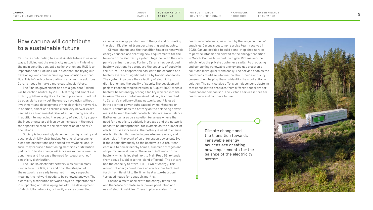### How caruna will contribute to a sustainable future

Caruna is contributing to a sustainable future in several ways. Building out the electricity network in Finland is the main contribution, but also innovation and R&D is an important part. Caruna LAB is a channel for trying out, developing, and commercializing new solutions in practice. This infrastructure platform enables the solutions Caruna needs to make a more sustainable future.

The Finnish government has set a goal that Finland will be carbon neutral by 2035. A strong and smart electricity grid has a significant role to play here. It will not be possible to carry out the energy revolution without investment and development of the electricity networks. In addition, smart and reliable electricity networks are needed as a fundamental pillar of a functioning society. In addition to improving the security of electricity supply, the investments are driven by an increase in the need for capacity related to the electrification of society's operations.

Society is increasingly dependent on high-quality and secure electricity distribution. Functional telecommunications connections are needed everywhere, and, in turn, they require a functioning electricity distribution platform. Climate change will increase extreme weather conditions and increase the need for weather-proof electricity distribution.

The Finnish electricity network was built in many respects in the 60s, 70s and 80s. The lifespan of the network is already being met in many respects, meaning the network needs to be renewed anyway. The electricity distribution network plays an important role in supporting and developing society. The development of electricity networks, primarily means connecting

renewable energy production to the grid and promoting the electrification of transport, heating and industry.

Climate change and the transition towards renewable energy sources are creating new requirements for the balance of the electricity system. Together with the company's partner partner, Fortum, Caruna has developed battery solutions to safeguard the security of supply in the future. The cooperation has led to the creation of a battery system of significant size by Nordic standards. The system improves the reliability of electricity distribution and the quality of supply. The development project reached tangible results in August 2020, when a battery-based energy storage facility whirred into life in Inkoo. The sea container-sized battery is connected to Caruna's medium-voltage network, and it is used in the event of power cuts caused by maintenance or faults. Fortum uses the battery on the balancing power market to keep the national electricity system in balance. Batteries can also be a solution for areas where the need for electricity suddenly increases and the network needs to be strengthened, for example as the number of electric buses increases. The battery is used to ensure electricity distribution during maintenance work, and it also helps in the event of an unforeseen power cut. Even if the electricity supply to the battery is cut off, it can continue to power nearby homes, summer cottages and shops for several hours. The area of influence of the battery, which is located next to Main Road 51, extends from about Stubböle to the island of Vormö. The battery has the capacity to store 1,028 kWh of energy. This amount of energy could move an electric car back and forth from Helsinki to Berlin or heat a two-bedroom terraced house for about six months.

Caruna aims to accelerate the energy transition and therefore promote solar power production and use of electric vehicles. These topics are also of the

customers' interests, as shown by the large number of enquiries Caruna's customer service team received in 2020. Caruna decided to build a one-stop shop service to provide information related to the energy transition. In March, Caruna launched the digital Virtane service, which helps the private customers switch to producing and consuming renewable energy and use electronic solutions more quickly and easily. The service enables the customers to utilise information about their electricity consumption, helping them to identify the most suitable solution. The service also offers an independent platform that consolidates products from different suppliers for transparent comparison. The Virtane service is free for customers and partners to use.

[FR A MEWORK](#page-6-0)  **STRUCTURE** 

Climate change and the transition towards renewable energy sources are creating new requirements for the balance of the electricity system.

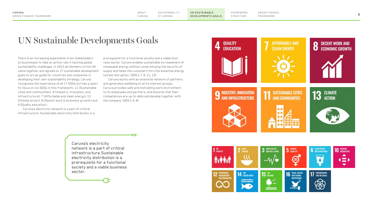[FR A MEWORK](#page-6-0)  **STRUCTURE** 

# <span id="page-5-0"></span>UN Sustainable Developments Goals

There is an increasing expectation from stakeholders on businesses to take an active role in tackling global sustainability challenges. In 2015 all members of the UN came together and agreed on 17 sustainable development goals to act as guide for countries and companies in developing their own sustainability strategy. Caruna recognizes the importance of all 17 SDGs but has a specific focus on six SDGs in this framework; 11 (Sustainable cities and communities), 9 (Industry, innovation, and infrastructure), 7 (Affordable and clean energy), 13 (Climate action), 8 (Decent work & economic growth) and 4 (Quality education).

Caruna's electricity network is a part of critical infrastructure. Sustainable electricity distribution is a prerequisite for a functional society and a viable business sector. Caruna enables sustainable increasement of renewable energy without compromising the security of supply and helps the customers thru the essential energy system disruption. (SDG's 7, 9, 11, 13)

Caruna works with an extensive network of partners and generates wellbeing to all its interest groups. Caruna provides safe and motivating work environment to its employees and partners, and ensures that their competences are up-to-date and develop together with the company. (SDG's 4, 8)

Caruna's electricity network is a part of critical infrastructure.Sustainable electricity distribution is a prerequisite for a functional society and a viable business sector.



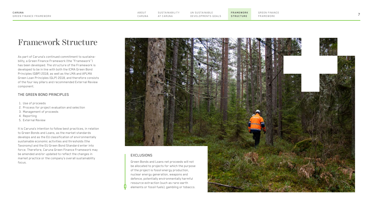**FR A MEWORK** 

### <span id="page-6-0"></span>Framework Structure

As part of Caruna's continued commitment to sustainability, a Green Finance Framework (the "Framework") has been developed. The structure of the Framework is developed to be in line with both the ICMA Green Bond Principles (GBP) 2018, as well as the LMA and APLMA Green Loan Principles (GLP) 2018, and therefore consists of the four key pillars and recommended External Review component.

#### THE GREEN BOND PRINCIPLES

- 1. Use of proceeds
- 2. Process for project evaluation and selection
- 3. Management of proceeds
- 4. Reporting
- 5. External Review

It is Caruna's intention to follow best practices, in relation to Green Bonds and Loans, as the market standards develops and as the EU classification of environmentally sustainable economic activities and thresholds (the Taxonomy) and the EU Green Bond Standard enter into force. Therefore, Caruna Green Finance Framework may be amended and/or updated to reflect the changes in market practice or the company's overall sustainability focus.

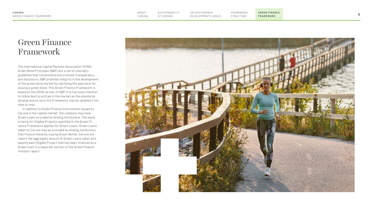**GREEN FINANCE FRAMEWORK**

## <span id="page-7-0"></span>Green Finance Framework

The international Capital Markets Association (ICMA) Green Bond Principles (GBP) are a set of voluntary guidelines that recommend and promote transparency and disclosure. GBP promote integrity in the development of the green bond market by clarifying the approach for issuing a green bond. This Green Finance Framework is based on the 2018 version of GBP. It is Caruna's intention to follow best practices in the market as the standards develop and as such the Framework may be updated from time to time.

In addition to Green Finance Instruments issued by Caruna in the capital market, the company may have Green Loans provided by lending institutions. The same criteria for Eligible Projects specified in the Green Fi nance Framework applies for Green Loans. Green Loans taken by Caruna may be provided by lending institutions that finance these by issuing Green Bonds. Caruna will report the aggregate amount of Green Loans taken and specify each Eligible Project that has been financed by a Green Loan in a separate section of the Green Finance Investor report.



[FR A MEWORK](#page-6-0)  **STRUCTURE**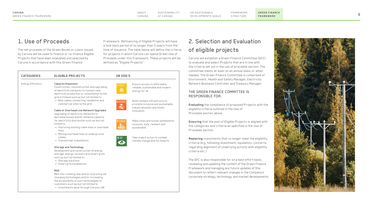STRUCTURE <sup>9</sup> [SUSTA INA BILIT Y](#page-3-0)  UN SUSTAINABLE [DEVELOPMENTS GOALS](#page-5-0)

**[GREEN FINANCE](#page-7-0) FRAMEWORK**

### 1. Use of Proceeds

The net proceeds of the Green Bonds or Loans issued by Caruna will be used to finance or re-finance Eligible Projects that have been evaluated and selected by Caruna in accordance with this Green Finance

Framework. Refinancing of Eligible Projects will have a look-back period of no longer than 5 years from the time of issuance. The table below will define the criteria for projects in which Caruna can spend Green Use of Proceeds under this framework. These projects will be defined as "Eligible Projects".

| <b>CATEGORIES</b> | <b>ELIGIBLE PROJECTS</b>                                                                                                                                                                                        | UN SDG'S |                                                                                                      |
|-------------------|-----------------------------------------------------------------------------------------------------------------------------------------------------------------------------------------------------------------|----------|------------------------------------------------------------------------------------------------------|
| Energy Efficiency | <b>Capacity Expansion</b><br>Construction, reconstruction and upgrading<br>of electricity networks to connect new<br>electricity production or consumption to the<br>grid in Finland such as but not limited to |          | Ensure access to affordable.<br>reliable, sustainable and modern<br>energy for all                   |
|                   | • New cables connecting residential and<br>commercial sites to the grid                                                                                                                                         |          | Build resilient infrastructure.<br>promote inclusive and sustainable<br>industrialization and foster |
|                   | Cable or Overhead Line Network Upgrades<br>Upgrading of electricity networks to<br>decrease losses and/or enhance capacity                                                                                      |          | innovation                                                                                           |
|                   | for electricity distribution such as but not<br>limited to<br>• Improving existing cable lines or overhead                                                                                                      |          | Make cities and human settlements<br>inclusive, safe, resilient and<br>sustainable                   |
|                   | lines<br>• Moving overhead lines to underground                                                                                                                                                                 |          |                                                                                                      |
|                   | cables<br>• Transformer substations                                                                                                                                                                             | $13 =$   | Take urgent action to combat<br>climate change and its impacts                                       |
|                   | <b>Storage and Technology</b>                                                                                                                                                                                   |          |                                                                                                      |
|                   | Development and construction of energy<br>storage, energy recovery and smart grids<br>such as but not limited to:<br>• Storage solutions                                                                        |          |                                                                                                      |
|                   | • Smart grid installations<br>R&D                                                                                                                                                                               |          |                                                                                                      |

#### R&D into creating new and/or improving old charging technologies and/or increasing the accessibility of such technologies to customers such as but not limited to

• Investments done through Caruna LAB

# 2. Selection and Evaluation

[FR A MEWORK](#page-6-0) 

Caruna will establish a Green Finance Committee (GFC) the criteria set out in the use of proceeds section. The needed. The Green Finance Committee is comprised of

**Evaluating** the compliance of proposed Projects with the eligibility criteria outlined in the Use of Proceeds section above.

**Ensuring** that the pool of Eligible Projects is aligned with the categories and criteria as specified in the Use of Proceeds section.

**Replacing** investments that no longer meet the eligibility criteria (e.g. following divestment, liquidation, concerns regarding alignment of underlying activity with eligibility criteria etc.)

The GFC is also responsible for on a best effort basis, reviewing and updating the content of the Green Finance Framework and managing any future updates of this document to reflect relevant changes in the Company's corporate strategy, technology, and market developments.